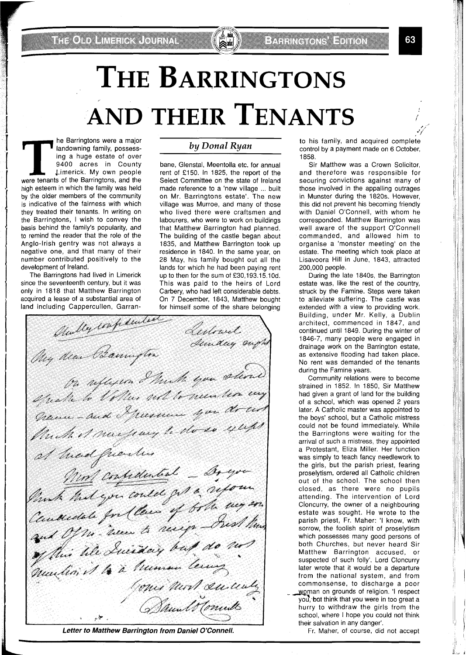# **THE BARRINGTONS AND THEIR TENANTS**

he Barringtons were a major landowning family, possessing a huge estate of over 9400 acres in County Limerick. My own people were tenants of the Barringtons, and the high esteem in which the family was held by the older members of the community is indicative of the fairness with which they treated their tenants. In writing on the Barringtons, I wish to convey the basis behind the family's popularity, and to remind the reader that the role of the Anglo-Irish gentry was not always a negative one, and that many of their number contributed positively to the development of Ireland.

The Barringtons had lived in Limerick since the seventeenth century, but it was only in 1818 that Matthew Barrington acquired a lease of a substantial area of land including Cappercullen, Garran-

### *by DonaZ Ryan*

bane, Glenstal, Meentolla etc. for annual rent of £150. In 1825, the report of the Select Committee on the state of Ireland made reference to a 'new village ... built on Mr. Barringtons estate'. The new village was Murroe, and many of those who lived there were craftsmen and labourers, who were to work on buildings that Matthew Barrington had planned. The building of the castle began about 1835, and Matthew Barrington took up residence in 1840. In the same year, on 28 May, his family bought out all the lands for which he had been paying rent up to then for the sum of £30,193.15.10d. This was paid to the heirs of Lord Carbery, who had left considerable debts. On 7 December, 1843, Matthew bought

ding Cappercullen, Garran- for himself some of the share belonging<br>
Classification of the share belonging Lestowet. Sentwee ought My dear Bannyton On uflexen I trust you stand grave a communication que docud Much of museumy to do so yups of thad frienders at mad griennes - Ar execution and Of me hear to heart qualin it to a trumer terms Gones most succeedy سيل ب

**Letter to Matthew Barrington from Daniel O'Connell.** 

, \*'/" to his family, and acquired complete control by a payment made on 6 October, 1858.

Sir Matthew was a Crown Solicitor, and therefore was responsible for securing convictions against many of those involved in the appalling outrages in Munster during the 1820s. However, this did not prevent his becoming friendly with Daniel O'Connell, with whom he corresponded. Matthew Barrington was well aware of the support O'Connell commanded, and allowed him to organise a 'monster meeting' on the estate. The meeting which took place at Lisavoora Hill in June, 1843, attracted 200,000 people.

During the late 1840s, the Barrington estate was, like the rest of the country, struck by the Famine. Steps were taken to alleviate suffering. The castle was extended with a view to providing work. Building, under Mr. Kelly, a Dublin architect, commenced in 1847, and continued until 1849. During the winter of 1846-7, many people were engaged in drainage work on the Barrington estate, as extensive flooding had taken place. No rent was demanded of the tenants during the Famine years.

Community relations were to become strained in 1852. In 1850, Sir Matthew had given a grant of land for the building of a school, which was opened 2 years later. A Catholic master was appointed to the boys' school, but a Catholic mistress could not be found immediately. While the Barringtons were waiting for the arrival of such a mistress, they appointed a Protestant, Eliza Miller. Her function was simply to teach fancy needlework to the girls, but the parish priest, fearing proselytism, ordered all Catholic children out of the school. The school then closed, as there were no pupils attending. The intervention of Lord Cloncurry, the owner of a neighbouring estate was sought. He wrote to the parish priest, Fr. Maher: 'l know, with sorrow, the foolish spirit of proselytism which possesses many good persons of both Churches, but never heard Sir Matthew Barrington accused, or suspected of such folly'. Lord Cloncurry later wrote that it would be a departure from the national system, and from commonsense, to discharge a poor **Woman on grounds of religion. 'I respect** you, but think that you were in too great a hurry to withdraw the girls from the school, where I hope you could not think their salvation in any danger'.

Fr. Maher, of course, did not accept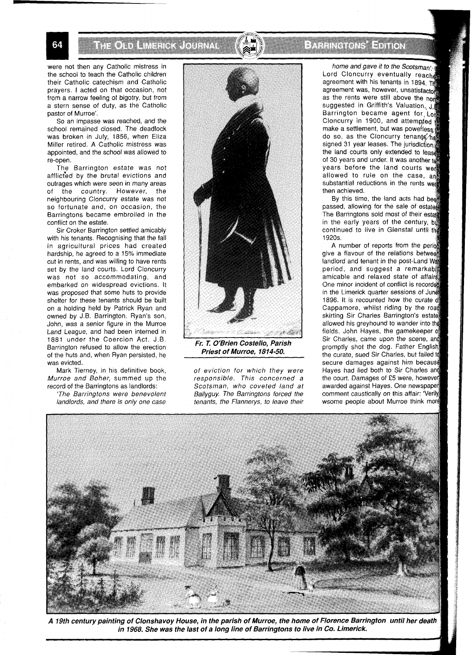ITE ODD LIMERICK JONENAL

were not then any Catholic mistress in the school to teach the Catholic children their Catholic catechism and Catholic prayers. I acted on that occasion, not from a narrow feeling, of bigotry, but from a stern sense of duty, as the Catholic pastor of Murroe'.

So an impasse was reached, and the school remained closed. The deadlock was broken in July, 1856, when Eliza Miller retired. A Catholic mistress was appointed, and the school was allowed to re-open.

The Barrington estate was not afflicted by the brutal evictions and outrages which were seen in many areas of the country. However, the neighbouring Cloncurry estate was not so fortunate and, on occasion, the Barringtons became embroiled in the conflict on the estate.

Sir Croker Barrington settled amicably with his tenants. Recognising that the fall in agricultural prices had created hardship, he agreed to a 15% immediate cut in rents, and was willing to have rents set by the land courts. Lord Cloncurry was not so accommodating, and embarked on widespread evictions. It was proposed that some huts to provide shelter for these tenants should be built on a holding held by Patrick Ryan and owned by J.B. Barrington. Ryan's son, John, was a senior figure in the Murroe Land League, and had been interned in 1881 under the Coercion Act. J.B. Barrington refused to allow the erection of the huts and, when Ryan persisted, he was evicted.

Mark Tierney, in his definitive book, Murroe and Boher, summed up the record of the Barringtons as landlords:

'The Barringtons were benevolent landlords, and there is only one case



**Priest of Murroe, 1814-50.** 

of eviction for which they were responsible. This concerned a Scotsman, who coveted land at Ballyguy. The Barringtons forced the tenants, the Flannerys, to leave their

BARRA TA ELION

home and gave it to the Scotsman's Lord Cloncurry eventually reacher agreement with his tenants in 1894. Th agreement was, however, unsatisfactor as the rents were still above the norm suggested in Griffith's Valuation. Barrington became agent for Lo Cloncurry in 1900, and attempted make a settlement, but was powerless do so, as the Cloncurry tenants had signed 31 year leases. The jurisdiction the land courts only extended to lease of 30 years and under. It was another to years before the land courts were allowed to rule on the case, and substantial reductions in the rents were then achieved.

By this time, the land acts had been passed, allowing for the sale of estates The Barringtons sold most of their estate in the early years of the century, bot continued to live in Glenstal until the 1920s.

A number of reports from the period give a flavour of the relations between landlord and tenant in the post-Land Wat period, and suggest a remarkab amicable and relaxed state of affair One minor incident of conflict is recorded in the Limerick quarter sessio 1896. It is recounted how the curate of Cappamore, whilst riding by the road skirting Sir Charles Barrington's estate allowed his greyhound to wander into th fields. John Hayes, the gamekeeper Sir Charles, came upon the scene, and promptly shot the dog. Father English the curate, sued Sir Charles, but faile secure damages against him because Hayes had lied both to Sir Charles an the court. Damages of £5 were, howeve awarded against Hayes. One newspape comment caustically on this affair: 'Verily wsome people about Murroe think mo

**i** 



**A 19th century painting of Clonshavoy House, in the parish of Murroe, the home of Florence Barrington until her death in 1968. She was the last of a long line of Barringtons to live in Co. Limerick.** 

64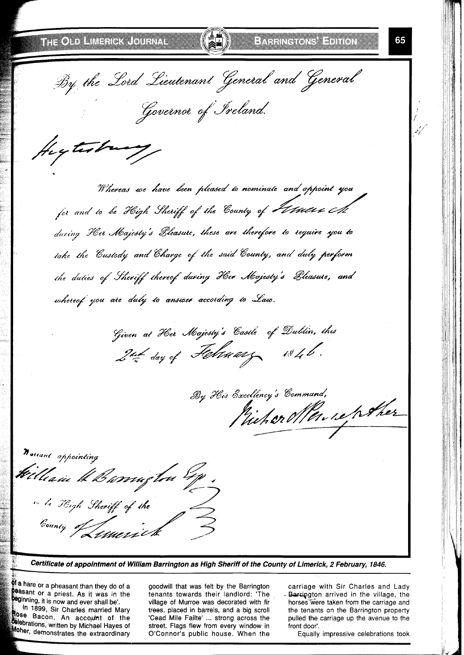fligtestring

65

By the Lord Lieutenant General and General Governor of Ireland.

Whereas we have been pleased to nominate and appoint you for and to be High Sheriff of the Country of *Februare A* during Her Majesty's Bleasure, these are therefore to require you to take the Custody and Charge of the said County, and duly perform the duties of Sheriff thereof during Her Majesty's Bleasure, and whereof you are duly to answer according to Law.

Given at Her Majesty's Castle of Dublin, this 2nd day of February 1846.

By His Excellency's Command, Michaellen reporter



**Certificate of appointment of William Barrington as High Sheriff of the County of Limerick, 2 February, 1846.** 

**<sup>of a</sup> hare or a pheasant than they do of a Dea**sant or a priest. As it was in the 'ginning, it is now and ever shall be'. In 1899, Sir Charles married Mary

Rose Bacon. An account of the **Colebrations, written by Michael Hayes of** Oher, demonstrates the extraordinary

goodwill that was felt by the Barrington carriage with Sir Charles and Lady street. Flags flew from every window in front door'.<br>O'Connor's public house. When the Equally impressive celebrations took O'Connor's public house. When the

tenants towards their landlord: 'The - Berrington arrived in the village, the village of Murroe was decorated with fir horses were taken from the carriage and trees, placed in barrels, and a big scroll the tenants on the Barrington property the tenants on the Barrington property 'Cead Mile Failte' ... strong across the pulled the carriage up the avenue to the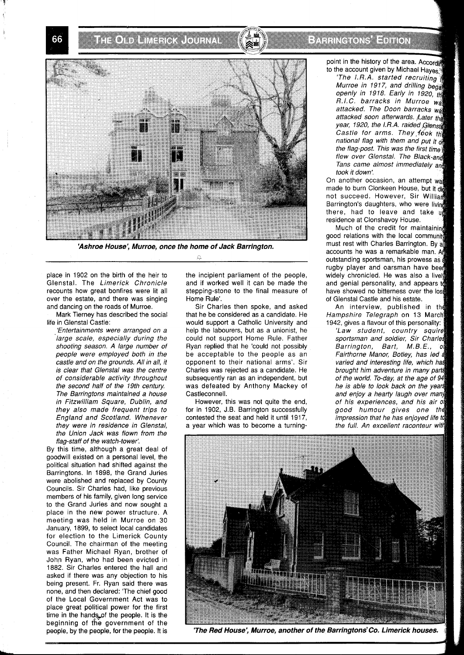**THE CITY LINES CRAIGUENAL** 



**'Ashroe House', Murroe, once the home of Jack Barrington.** 

place in 1902 on the birth of the heir to Glenstal. The Limerick Chronicle recounts how great bonfires were lit all over the estate, and there was singing and dancing on the roads of Murroe.

Mark Tierney has described the social life in Glenstal Castle:

'Entertainments were arranged on a large scale, especially during the shooting season. A large number of people were employed both in the castle and on the grounds. All in all, it is clear that Glenstal was the centre of considerable activity throughout the second half of the 19th century. The Barringtons maintained a house in Fitzwilliam Square, Dublin, and they also made frequent trips to England and Scotland. Whenever they were in residence in Glenstal, the Union Jack was flown from the flag-staff of the watch-tower:

By this time, although a great deal of goodwill existed on a personal level, the political situation had shifted against the Barringtons. In 1898, the Grand Juries were abolished and replaced by County Councils. Sir Charles had, like previous members of his family, given long service to the Grand Juries and now sought a place in the new power structure. A meeting was held in Murroe on 30 January, 1899, to select local candidates for elecfion to the Limerick County Council. The chairman of the meeting was Father Michael Ryan, brother of John Ryan, who had been evicted in 1882. Sir Charles entered the hall and asked if there was any objection to his being present. Fr. Ryan said there was none, and then declared: 'The chief good of the Local Government Act was to place great political power for the first time in the hands of the people. It is the beginning of the government of the people, by the people, for the people. It is

the incipient parliament of the people, and if worked well it can be made the stepping-stone to the final measure of Home Rule'.

Sir Charles then spoke, and asked that he be considered as a candidate. He would support a Catholic University and help the labourers, but as a unionist, he could not support Home Rule. Father Ryan replied that he 'could not possibly be acceptable to the people as an opponent to their national arms'. Sir Charles was rejected as a candidate. He subsequently ran as an independent, but was defeated by Anthony Mackey of Castleconnell.

However, this was not quite the end, for in 1902, J.B. Barrington successfully contested the seat and held it until 1917, a year which was to become a turning-

## PARRING ONS EDITOR

point in the history of the area. According to the account given by Michael Hayes.

The  $I.R.A.$  started recruiting Murroe in 1917, and drilling bega openly in 1918. Early in 1920, *thi* R.I.C. barracks in Murroe **<sup>W</sup>** attacked. The Doon barracks wat attacked soon afterwards. Later the year, 1920, the I.R.A. raided Glensta Castle for arms. They fook the national flag with them and put it of the flag-post. This was the first time flew over Glenstal. The Black-and Tans came almost immediately and took it down:

On another occasion, an attempt was made to burn Clonkeen House, but it did not succeed. However, Sir William Barrington's daughters, who were living there, had to leave and take **<sup>U</sup>** residence at Clonshavoy House.

Much of the credit for maintainin good relations with the local community must rest with Charles Barrington. By a accounts he was a remarkable man. A outstanding sportsman, his prowess as rugby player and oarsman have been widely chronicled. He was also a lively and genial personality, and appears to have showed no bitterness over the lost of Glenstal Castle and his estate.

An interview, published in th Hampshire Telegraph on 13 March

1942, gives a flavour of this personalit 'Law student, country squire sportsman and soldier, Sir Charles Barrington, Bart, M.B.E., of Fairthorne Manor, Botley, has led a varied and interesting life, which has brought him adventure in many parts of the world. To-day, at the age of 94 he is able to look back on the years and enjoy a hearty laugh over many of his experiences, and his good humour gives one impression that he has enjoyed life to the full. An excellent raconteur with



**'The Red House', Murroe, another of the Barringtons'Co. Limerick houses.** 

#### 66